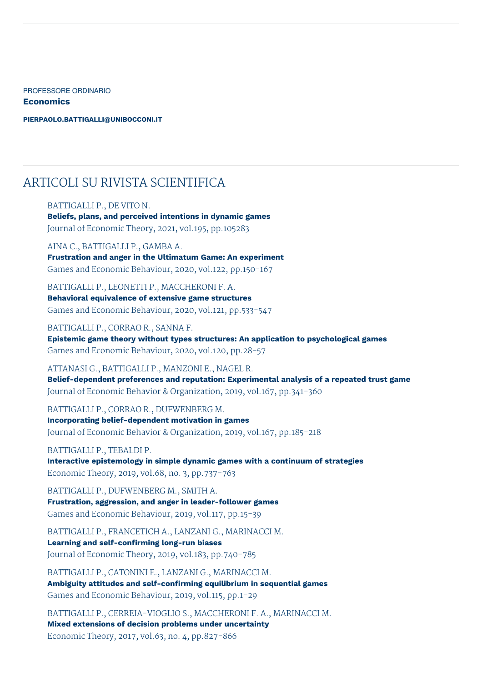PROFESSORE ORDINARIO

**Economics**

**[PIERPAOLO.BATTIGALLI@UNIBOCCONI.IT](mailto:pierpaolo.battigalli@unibocconi.it)**

# ARTICOLI SU RIVISTA SCIENTIFICA

#### BATTIGALLI P., DE VITO N.

**Beliefs, plans, and perceived intentions in dynamic games** Journal of Economic Theory, 2021, vol.195, pp.105283

AINA C., BATTIGALLI P., GAMBA A. **Frustration and anger in the Ultimatum Game: An experiment** Games and Economic Behaviour, 2020, vol.122, pp.150-167

BATTIGALLI P., LEONETTI P., MACCHERONI F. A. **Behavioral equivalence of extensive game structures** Games and Economic Behaviour, 2020, vol.121, pp.533-547

BATTIGALLI P., CORRAO R., SANNA F.

**Epistemic game theory without types structures: An application to psychological games** Games and Economic Behaviour, 2020, vol.120, pp.28-57

ATTANASI G., BATTIGALLI P., MANZONI E., NAGEL R.

**Belief-dependent preferences and reputation: Experimental analysis of a repeated trust game** Journal of Economic Behavior & Organization, 2019, vol.167, pp.341-360

BATTIGALLI P., CORRAO R., DUFWENBERG M.

**Incorporating belief-dependent motivation in games** Journal of Economic Behavior & Organization, 2019, vol.167, pp.185-218

BATTIGALLI P., TEBALDI P. **Interactive epistemology in simple dynamic games with a continuum of strategies** Economic Theory, 2019, vol.68, no. 3, pp.737-763

BATTIGALLI P., DUFWENBERG M., SMITH A. **Frustration, aggression, and anger in leader-follower games** Games and Economic Behaviour, 2019, vol.117, pp.15-39

BATTIGALLI P., FRANCETICH A., LANZANI G., MARINACCI M. **Learning and self-confirming long-run biases** Journal of Economic Theory, 2019, vol.183, pp.740-785

BATTIGALLI P., CATONINI E., LANZANI G., MARINACCI M. **Ambiguity attitudes and self-confirming equilibrium in sequential games** Games and Economic Behaviour, 2019, vol.115, pp.1-29

BATTIGALLI P., CERREIA-VIOGLIO S., MACCHERONI F. A., MARINACCI M. **Mixed extensions of decision problems under uncertainty** Economic Theory, 2017, vol.63, no. 4, pp.827-866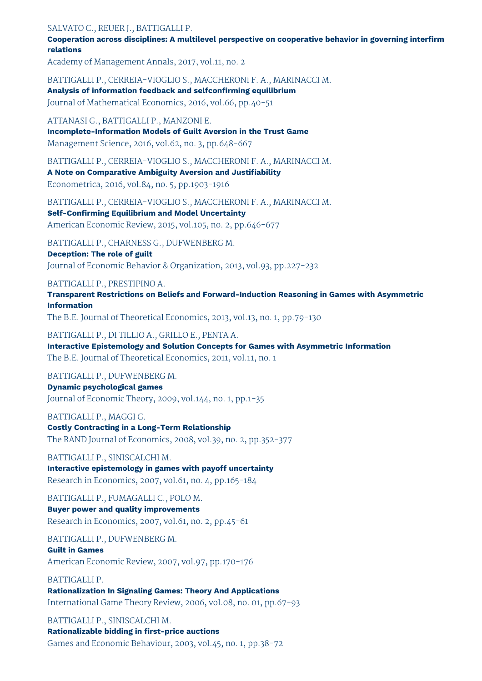SALVATO C., REUER J., BATTIGALLI P.

**Cooperation across disciplines: A multilevel perspective on cooperative behavior in governing interfirm relations**

Academy of Management Annals, 2017, vol.11, no. 2

BATTIGALLI P., CERREIA-VIOGLIO S., MACCHERONI F. A., MARINACCI M.

**Analysis of information feedback and selfconfirming equilibrium** Journal of Mathematical Economics, 2016, vol.66, pp.40-51

ATTANASI G., BATTIGALLI P., MANZONI E.

**Incomplete-Information Models of Guilt Aversion in the Trust Game** Management Science, 2016, vol.62, no. 3, pp.648-667

BATTIGALLI P., CERREIA-VIOGLIO S., MACCHERONI F. A., MARINACCI M.

**A Note on Comparative Ambiguity Aversion and Justifiability** Econometrica, 2016, vol.84, no. 5, pp.1903-1916

BATTIGALLI P., CERREIA-VIOGLIO S., MACCHERONI F. A., MARINACCI M. **Self-Confirming Equilibrium and Model Uncertainty**

American Economic Review, 2015, vol.105, no. 2, pp.646-677

BATTIGALLI P., CHARNESS G., DUFWENBERG M.

**Deception: The role of guilt**

Journal of Economic Behavior & Organization, 2013, vol.93, pp.227-232

#### BATTIGALLI P., PRESTIPINO A.

**Transparent Restrictions on Beliefs and Forward-Induction Reasoning in Games with Asymmetric Information**

The B.E. Journal of Theoretical Economics, 2013, vol.13, no. 1, pp.79-130

#### BATTIGALLI P., DI TILLIO A., GRILLO E., PENTA A.

**Interactive Epistemology and Solution Concepts for Games with Asymmetric Information** The B.E. Journal of Theoretical Economics, 2011, vol.11, no. 1

### BATTIGALLI P., DUFWENBERG M.

**Dynamic psychological games** Journal of Economic Theory, 2009, vol.144, no. 1, pp.1-35

BATTIGALLI P., MAGGI G. **Costly Contracting in a Long-Term Relationship**

The RAND Journal of Economics, 2008, vol.39, no. 2, pp.352-377

BATTIGALLI P., SINISCALCHI M.

**Interactive epistemology in games with payoff uncertainty** Research in Economics, 2007, vol.61, no. 4, pp.165-184

BATTIGALLI P., FUMAGALLI C., POLO M. **Buyer power and quality improvements** Research in Economics, 2007, vol.61, no. 2, pp.45-61

BATTIGALLI P., DUFWENBERG M.

## **Guilt in Games**

American Economic Review, 2007, vol.97, pp.170-176

### BATTIGALLI P.

**Rationalization In Signaling Games: Theory And Applications** International Game Theory Review, 2006, vol.08, no. 01, pp.67-93

BATTIGALLI P., SINISCALCHI M. **Rationalizable bidding in first-price auctions** Games and Economic Behaviour, 2003, vol.45, no. 1, pp.38-72